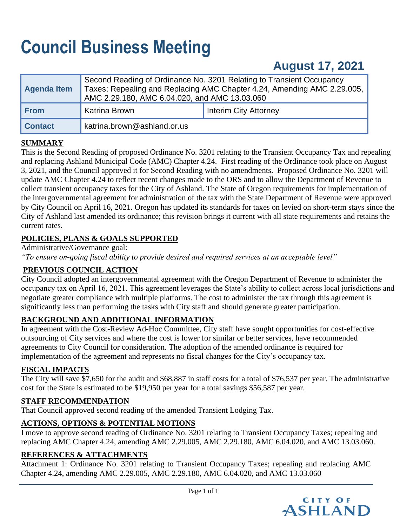# **Council Business Meeting**

# **August 17, 2021**

| Agenda Item    | AMC 2.29.180, AMC 6.04.020, and AMC 13.03.060 | Second Reading of Ordinance No. 3201 Relating to Transient Occupancy<br>Taxes; Repealing and Replacing AMC Chapter 4.24, Amending AMC 2.29.005, |
|----------------|-----------------------------------------------|-------------------------------------------------------------------------------------------------------------------------------------------------|
| From           | Katrina Brown                                 | <b>Interim City Attorney</b>                                                                                                                    |
| <b>Contact</b> | katrina.brown@ashland.or.us                   |                                                                                                                                                 |

# **SUMMARY**

This is the Second Reading of proposed Ordinance No. 3201 relating to the Transient Occupancy Tax and repealing and replacing Ashland Municipal Code (AMC) Chapter 4.24. First reading of the Ordinance took place on August 3, 2021, and the Council approved it for Second Reading with no amendments. Proposed Ordinance No. 3201 will update AMC Chapter 4.24 to reflect recent changes made to the ORS and to allow the Department of Revenue to collect transient occupancy taxes for the City of Ashland. The State of Oregon requirements for implementation of the intergovernmental agreement for administration of the tax with the State Department of Revenue were approved by City Council on April 16, 2021. Oregon has updated its standards for taxes on levied on short-term stays since the City of Ashland last amended its ordinance; this revision brings it current with all state requirements and retains the current rates.

# **POLICIES, PLANS & GOALS SUPPORTED**

Administrative/Governance goal:

*"To ensure on-going fiscal ability to provide desired and required services at an acceptable level"*

## **PREVIOUS COUNCIL ACTION**

City Council adopted an intergovernmental agreement with the Oregon Department of Revenue to administer the occupancy tax on April 16, 2021. This agreement leverages the State's ability to collect across local jurisdictions and negotiate greater compliance with multiple platforms. The cost to administer the tax through this agreement is significantly less than performing the tasks with City staff and should generate greater participation.

# **BACKGROUND AND ADDITIONAL INFORMATION**

In agreement with the Cost-Review Ad-Hoc Committee, City staff have sought opportunities for cost-effective outsourcing of City services and where the cost is lower for similar or better services, have recommended agreements to City Council for consideration. The adoption of the amended ordinance is required for implementation of the agreement and represents no fiscal changes for the City's occupancy tax.

## **FISCAL IMPACTS**

The City will save \$7,650 for the audit and \$68,887 in staff costs for a total of \$76,537 per year. The administrative cost for the State is estimated to be \$19,950 per year for a total savings \$56,587 per year.

## **STAFF RECOMMENDATION**

That Council approved second reading of the amended Transient Lodging Tax.

## **ACTIONS, OPTIONS & POTENTIAL MOTIONS**

I move to approve second reading of Ordinance No. 3201 relating to Transient Occupancy Taxes; repealing and replacing AMC Chapter 4.24, amending AMC 2.29.005, AMC 2.29.180, AMC 6.04.020, and AMC 13.03.060.

## **REFERENCES & ATTACHMENTS**

Attachment 1: Ordinance No. 3201 relating to Transient Occupancy Taxes; repealing and replacing AMC Chapter 4.24, amending AMC 2.29.005, AMC 2.29.180, AMC 6.04.020, and AMC 13.03.060

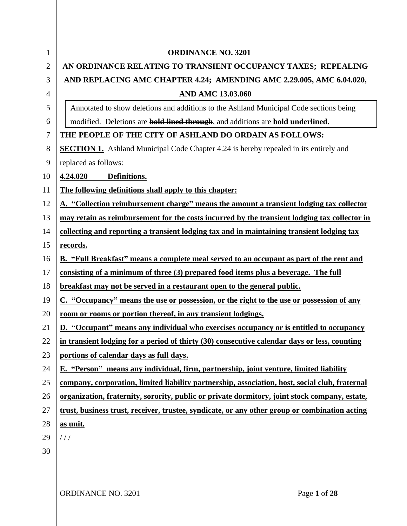| $\mathbf{1}$   | <b>ORDINANCE NO. 3201</b>                                                                      |
|----------------|------------------------------------------------------------------------------------------------|
| $\overline{2}$ | AN ORDINANCE RELATING TO TRANSIENT OCCUPANCY TAXES; REPEALING                                  |
| 3              | AND REPLACING AMC CHAPTER 4.24; AMENDING AMC 2.29.005, AMC 6.04.020,                           |
| 4              | <b>AND AMC 13.03.060</b>                                                                       |
| 5              | Annotated to show deletions and additions to the Ashland Municipal Code sections being         |
| 6              | modified. Deletions are <b>bold lined through</b> , and additions are <b>bold underlined.</b>  |
| 7              | THE PEOPLE OF THE CITY OF ASHLAND DO ORDAIN AS FOLLOWS:                                        |
| 8              | <b>SECTION 1.</b> Ashland Municipal Code Chapter 4.24 is hereby repealed in its entirely and   |
| 9              | replaced as follows:                                                                           |
| 10             | 4.24.020<br>Definitions.                                                                       |
| 11             | The following definitions shall apply to this chapter:                                         |
| 12             | A. "Collection reimbursement charge" means the amount a transient lodging tax collector        |
| 13             | may retain as reimbursement for the costs incurred by the transient lodging tax collector in   |
| 14             | collecting and reporting a transient lodging tax and in maintaining transient lodging tax      |
| 15             | records.                                                                                       |
| 16             | <b>B.</b> "Full Breakfast" means a complete meal served to an occupant as part of the rent and |
| 17             | consisting of a minimum of three (3) prepared food items plus a beverage. The full             |
| 18             | <u>breakfast may not be served in a restaurant open to the general public.</u>                 |
| 19             | C. "Occupancy" means the use or possession, or the right to the use or possession of any       |
| 20             | <u>room or rooms or portion thereof, in any transient lodgings.</u>                            |
| 21             | D. "Occupant" means any individual who exercises occupancy or is entitled to occupancy         |
| 22             | in transient lodging for a period of thirty (30) consecutive calendar days or less, counting   |
| 23             | portions of calendar days as full days.                                                        |
| 24             | E. "Person" means any individual, firm, partnership, joint venture, limited liability          |
| 25             | company, corporation, limited liability partnership, association, host, social club, fraternal |
| 26             | organization, fraternity, sorority, public or private dormitory, joint stock company, estate,  |
| 27             | trust, business trust, receiver, trustee, syndicate, or any other group or combination acting  |
| 28             | as unit.                                                                                       |
| 29             | 111                                                                                            |
| 30             |                                                                                                |
|                |                                                                                                |
|                |                                                                                                |
|                | ORDINANCE NO. 3201<br>Page 1 of 28                                                             |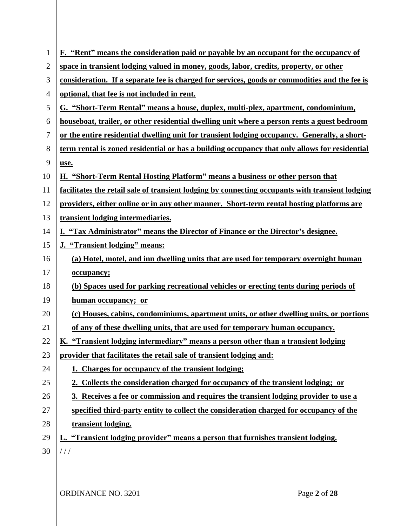| $\mathbf{1}$   | F. "Rent" means the consideration paid or payable by an occupant for the occupancy of           |
|----------------|-------------------------------------------------------------------------------------------------|
| $\overline{2}$ | space in transient lodging valued in money, goods, labor, credits, property, or other           |
| 3              | consideration. If a separate fee is charged for services, goods or commodities and the fee is   |
| 4              | optional, that fee is not included in rent.                                                     |
| 5              | G. "Short-Term Rental" means a house, duplex, multi-plex, apartment, condominium,               |
| 6              | houseboat, trailer, or other residential dwelling unit where a person rents a guest bedroom     |
| $\overline{7}$ | or the entire residential dwelling unit for transient lodging occupancy. Generally, a short-    |
| 8              | term rental is zoned residential or has a building occupancy that only allows for residential   |
| 9              | use.                                                                                            |
| 10             | H. "Short-Term Rental Hosting Platform" means a business or other person that                   |
| 11             | facilitates the retail sale of transient lodging by connecting occupants with transient lodging |
| 12             | providers, either online or in any other manner. Short-term rental hosting platforms are        |
| 13             | transient lodging intermediaries.                                                               |
| 14             | I. "Tax Administrator" means the Director of Finance or the Director's designee.                |
| 15             | J. "Transient lodging" means:                                                                   |
| 16             | (a) Hotel, motel, and inn dwelling units that are used for temporary overnight human            |
| 17             | occupancy;                                                                                      |
| 18             | (b) Spaces used for parking recreational vehicles or erecting tents during periods of           |
| 19             | human occupancy; or                                                                             |
| 20             | (c) Houses, cabins, condominiums, apartment units, or other dwelling units, or portions         |
| 21             | of any of these dwelling units, that are used for temporary human occupancy.                    |
| 22             | "Transient lodging intermediary" means a person other than a transient lodging<br><u>K.</u>     |
| 23             | provider that facilitates the retail sale of transient lodging and:                             |
| 24             | 1. Charges for occupancy of the transient lodging;                                              |
| 25             | 2. Collects the consideration charged for occupancy of the transient lodging; or                |
| 26             | 3. Receives a fee or commission and requires the transient lodging provider to use a            |
| 27             | specified third-party entity to collect the consideration charged for occupancy of the          |
| 28             | transient lodging.                                                                              |
| 29             | L. "Transient lodging provider" means a person that furnishes transient lodging.                |
| 30             | 111                                                                                             |
|                |                                                                                                 |

ORDINANCE NO. 3201 Page 2 of 28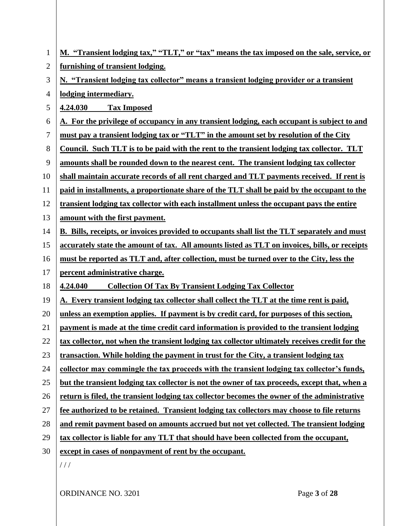| $\mathbf{1}$ | M. "Transient lodging tax," "TLT," or "tax" means the tax imposed on the sale, service, or     |
|--------------|------------------------------------------------------------------------------------------------|
| 2            | furnishing of transient lodging.                                                               |
| 3            | N. "Transient lodging tax collector" means a transient lodging provider or a transient         |
| 4            | lodging intermediary.                                                                          |
| 5            | 4.24.030<br><b>Tax Imposed</b>                                                                 |
| 6            | A. For the privilege of occupancy in any transient lodging, each occupant is subject to and    |
| 7            | must pay a transient lodging tax or "TLT" in the amount set by resolution of the City          |
| 8            | Council. Such TLT is to be paid with the rent to the transient lodging tax collector. TLT      |
| 9            | amounts shall be rounded down to the nearest cent. The transient lodging tax collector         |
| 10           | shall maintain accurate records of all rent charged and TLT payments received. If rent is      |
| 11           | paid in installments, a proportionate share of the TLT shall be paid by the occupant to the    |
| 12           | transient lodging tax collector with each installment unless the occupant pays the entire      |
| 13           | amount with the first payment.                                                                 |
| 14           | B. Bills, receipts, or invoices provided to occupants shall list the TLT separately and must   |
| 15           | accurately state the amount of tax. All amounts listed as TLT on invoices, bills, or receipts  |
| 16           | must be reported as TLT and, after collection, must be turned over to the City, less the       |
| 17           | percent administrative charge.                                                                 |
| 18           | <b>Collection Of Tax By Transient Lodging Tax Collector</b><br>4.24.040                        |
| 19           | A. Every transient lodging tax collector shall collect the TLT at the time rent is paid,       |
| 20           | unless an exemption applies. If payment is by credit card, for purposes of this section,       |
| 21           | payment is made at the time credit card information is provided to the transient lodging       |
| 22           | tax collector, not when the transient lodging tax collector ultimately receives credit for the |
| 23           | transaction. While holding the payment in trust for the City, a transient lodging tax          |
| 24           | collector may commingle the tax proceeds with the transient lodging tax collector's funds,     |
| 25           | but the transient lodging tax collector is not the owner of tax proceeds, except that, when a  |
| 26           | return is filed, the transient lodging tax collector becomes the owner of the administrative   |
| 27           | fee authorized to be retained. Transient lodging tax collectors may choose to file returns     |
| 28           | and remit payment based on amounts accrued but not yet collected. The transient lodging        |
| 29           | tax collector is liable for any TLT that should have been collected from the occupant,         |
| 30           | except in cases of nonpayment of rent by the occupant.                                         |
|              | //                                                                                             |

ORDINANCE NO. 3201 Page **3** of **28**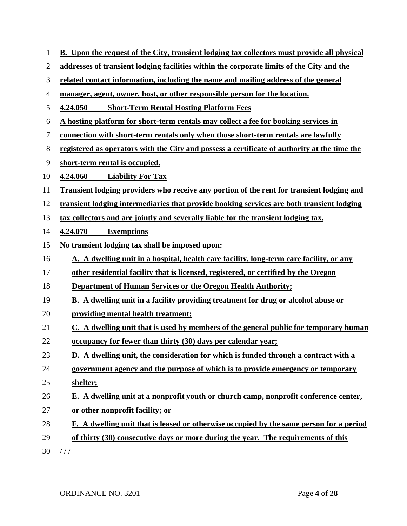| $\mathbf{1}$   | <b>B.</b> Upon the request of the City, transient lodging tax collectors must provide all physical |
|----------------|----------------------------------------------------------------------------------------------------|
| $\overline{2}$ | addresses of transient lodging facilities within the corporate limits of the City and the          |
| 3              | related contact information, including the name and mailing address of the general                 |
| 4              | manager, agent, owner, host, or other responsible person for the location.                         |
| 5              | <b>Short-Term Rental Hosting Platform Fees</b><br>4.24.050                                         |
| 6              | A hosting platform for short-term rentals may collect a fee for booking services in                |
| 7              | connection with short-term rentals only when those short-term rentals are lawfully                 |
| 8              | registered as operators with the City and possess a certificate of authority at the time the       |
| 9              | short-term rental is occupied.                                                                     |
| 10             | 4.24.060<br><b>Liability For Tax</b>                                                               |
| 11             | Transient lodging providers who receive any portion of the rent for transient lodging and          |
| 12             | transient lodging intermediaries that provide booking services are both transient lodging          |
| 13             | tax collectors and are jointly and severally liable for the transient lodging tax.                 |
| 14             | 4.24.070<br><b>Exemptions</b>                                                                      |
| 15             | No transient lodging tax shall be imposed upon:                                                    |
| 16             | A. A dwelling unit in a hospital, health care facility, long-term care facility, or any            |
| 17             | other residential facility that is licensed, registered, or certified by the Oregon                |
| 18             | <b>Department of Human Services or the Oregon Health Authority;</b>                                |
| 19             | <b>B.</b> A dwelling unit in a facility providing treatment for drug or alcohol abuse or           |
| 20             | providing mental health treatment;                                                                 |
| 21             | C. A dwelling unit that is used by members of the general public for temporary human               |
| 22             | occupancy for fewer than thirty (30) days per calendar year;                                       |
| 23             | D. A dwelling unit, the consideration for which is funded through a contract with a                |
| 24             | government agency and the purpose of which is to provide emergency or temporary                    |
| 25             | shelter;                                                                                           |
| 26             | E. A dwelling unit at a nonprofit youth or church camp, nonprofit conference center,               |
| 27             | or other nonprofit facility; or                                                                    |
| 28             | F. A dwelling unit that is leased or otherwise occupied by the same person for a period            |
| 29             | of thirty (30) consecutive days or more during the year. The requirements of this                  |
| 30             | 111                                                                                                |
|                |                                                                                                    |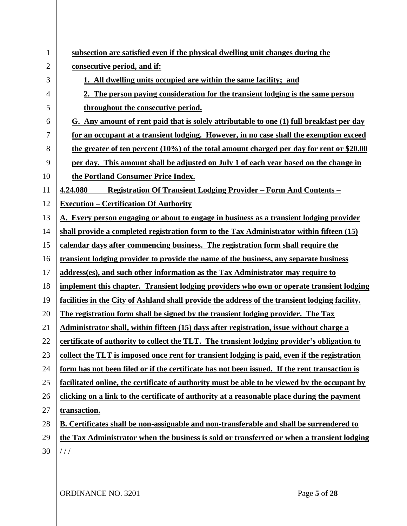| 1              | subsection are satisfied even if the physical dwelling unit changes during the                 |
|----------------|------------------------------------------------------------------------------------------------|
| $\overline{2}$ | consecutive period, and if:                                                                    |
| 3              | 1. All dwelling units occupied are within the same facility; and                               |
| 4              | 2. The person paying consideration for the transient lodging is the same person                |
| 5              | throughout the consecutive period.                                                             |
| 6              | G. Any amount of rent paid that is solely attributable to one (1) full breakfast per day       |
| 7              | for an occupant at a transient lodging. However, in no case shall the exemption exceed         |
| 8              | the greater of ten percent (10%) of the total amount charged per day for rent or \$20.00       |
| 9              | per day. This amount shall be adjusted on July 1 of each year based on the change in           |
| 10             | the Portland Consumer Price Index.                                                             |
| 11             | <u> Registration Of Transient Lodging Provider – Form And Contents – </u><br>4.24.080          |
| 12             | <b>Execution - Certification Of Authority</b>                                                  |
| 13             | A. Every person engaging or about to engage in business as a transient lodging provider        |
| 14             | shall provide a completed registration form to the Tax Administrator within fifteen (15)       |
| 15             | calendar days after commencing business. The registration form shall require the               |
| 16             | transient lodging provider to provide the name of the business, any separate business          |
| 17             | address(es), and such other information as the Tax Administrator may require to                |
| 18             | implement this chapter. Transient lodging providers who own or operate transient lodging       |
| 19             | facilities in the City of Ashland shall provide the address of the transient lodging facility. |
| 20             | The registration form shall be signed by the transient lodging provider. The Tax               |
| 21             | Administrator shall, within fifteen (15) days after registration, issue without charge a       |
| 22             | certificate of authority to collect the TLT. The transient lodging provider's obligation to    |
| 23             | collect the TLT is imposed once rent for transient lodging is paid, even if the registration   |
| 24             | form has not been filed or if the certificate has not been issued. If the rent transaction is  |
| 25             | facilitated online, the certificate of authority must be able to be viewed by the occupant by  |
| 26             | clicking on a link to the certificate of authority at a reasonable place during the payment    |
| 27             | transaction.                                                                                   |
| 28             | B. Certificates shall be non-assignable and non-transferable and shall be surrendered to       |
| 29             | the Tax Administrator when the business is sold or transferred or when a transient lodging     |
| 30             | 111                                                                                            |
|                |                                                                                                |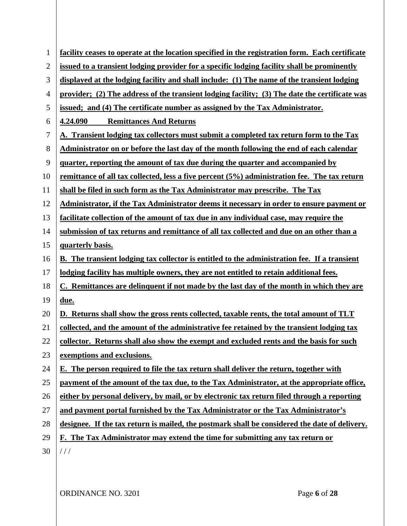| $\mathbf{1}$ | facility ceases to operate at the location specified in the registration form. Each certificate     |
|--------------|-----------------------------------------------------------------------------------------------------|
| 2            | issued to a transient lodging provider for a specific lodging facility shall be prominently         |
| 3            | displayed at the lodging facility and shall include: (1) The name of the transient lodging          |
|              |                                                                                                     |
| 4            | provider; (2) The address of the transient lodging facility; (3) The date the certificate was       |
| 5            | issued; and (4) The certificate number as assigned by the Tax Administrator.                        |
| 6            | <b>Remittances And Returns</b><br>4.24.090                                                          |
| 7            | A. Transient lodging tax collectors must submit a completed tax return form to the Tax              |
| 8            | Administrator on or before the last day of the month following the end of each calendar             |
| 9            | quarter, reporting the amount of tax due during the quarter and accompanied by                      |
| 10           | remittance of all tax collected, less a five percent (5%) administration fee. The tax return        |
| 11           | shall be filed in such form as the Tax Administrator may prescribe. The Tax                         |
| 12           | Administrator, if the Tax Administrator deems it necessary in order to ensure payment or            |
| 13           | facilitate collection of the amount of tax due in any individual case, may require the              |
| 14           | submission of tax returns and remittance of all tax collected and due on an other than a            |
| 15           | quarterly basis.                                                                                    |
| 16           | <b>B.</b> The transient lodging tax collector is entitled to the administration fee. If a transient |
| 17           | lodging facility has multiple owners, they are not entitled to retain additional fees.              |
| 18           | C. Remittances are delinquent if not made by the last day of the month in which they are            |
| 19           | due.                                                                                                |
| 20           | D. Returns shall show the gross rents collected, taxable rents, the total amount of TLT             |
| 21           | collected, and the amount of the administrative fee retained by the transient lodging tax           |
| 22           | collector. Returns shall also show the exempt and excluded rents and the basis for such             |
| 23           | exemptions and exclusions.                                                                          |
| 24           | E. The person required to file the tax return shall deliver the return, together with               |
| 25           | payment of the amount of the tax due, to the Tax Administrator, at the appropriate office,          |
| 26           | either by personal delivery, by mail, or by electronic tax return filed through a reporting         |
| 27           | and payment portal furnished by the Tax Administrator or the Tax Administrator's                    |
| 28           | designee. If the tax return is mailed, the postmark shall be considered the date of delivery.       |
| 29           | F. The Tax Administrator may extend the time for submitting any tax return or                       |
| 30           | 111                                                                                                 |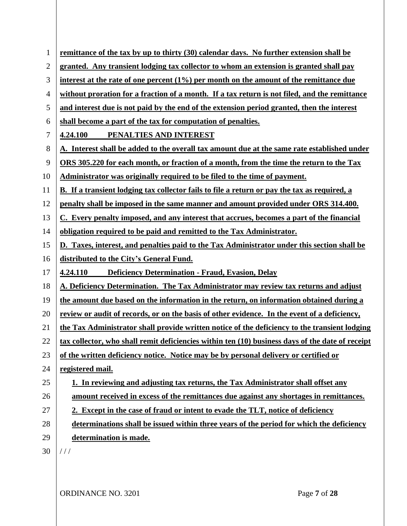| $\mathbf{1}$   | remittance of the tax by up to thirty (30) calendar days. No further extension shall be             |
|----------------|-----------------------------------------------------------------------------------------------------|
| $\overline{2}$ | granted. Any transient lodging tax collector to whom an extension is granted shall pay              |
| 3              | interest at the rate of one percent $(1\%)$ per month on the amount of the remittance due           |
| 4              | without proration for a fraction of a month. If a tax return is not filed, and the remittance       |
| 5              | and interest due is not paid by the end of the extension period granted, then the interest          |
| 6              | shall become a part of the tax for computation of penalties.                                        |
| 7              | PENALTIES AND INTEREST<br>4.24.100                                                                  |
| 8              | A. Interest shall be added to the overall tax amount due at the same rate established under         |
| 9              | ORS 305.220 for each month, or fraction of a month, from the time the return to the Tax             |
| 10             | Administrator was originally required to be filed to the time of payment.                           |
| 11             | <b>B.</b> If a transient lodging tax collector fails to file a return or pay the tax as required, a |
| 12             | penalty shall be imposed in the same manner and amount provided under ORS 314.400.                  |
| 13             | C. Every penalty imposed, and any interest that accrues, becomes a part of the financial            |
| 14             | obligation required to be paid and remitted to the Tax Administrator.                               |
| 15             | D. Taxes, interest, and penalties paid to the Tax Administrator under this section shall be         |
| 16             | distributed to the City's General Fund.                                                             |
| 17             | <b>Deficiency Determination - Fraud, Evasion, Delay</b><br>4.24.110                                 |
| 18             | A. Deficiency Determination. The Tax Administrator may review tax returns and adjust                |
| 19             | the amount due based on the information in the return, on information obtained during a             |
| 20             | review or audit of records, or on the basis of other evidence. In the event of a deficiency,        |
| 21             | the Tax Administrator shall provide written notice of the deficiency to the transient lodging       |
| 22             | tax collector, who shall remit deficiencies within ten (10) business days of the date of receipt    |
| 23             | of the written deficiency notice. Notice may be by personal delivery or certified or                |
| 24             | registered mail.                                                                                    |
| 25             | 1. In reviewing and adjusting tax returns, the Tax Administrator shall offset any                   |
| 26             | amount received in excess of the remittances due against any shortages in remittances.              |
| 27             | 2. Except in the case of fraud or intent to evade the TLT, notice of deficiency                     |
| 28             | determinations shall be issued within three years of the period for which the deficiency            |
| 29             | determination is made.                                                                              |
| 30             | //                                                                                                  |
|                |                                                                                                     |

ORDINANCE NO. 3201 Page **7** of **28**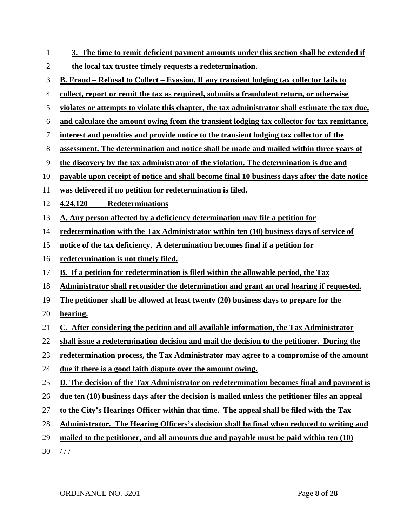| $\mathbf{1}$ | 3. The time to remit deficient payment amounts under this section shall be extended if          |
|--------------|-------------------------------------------------------------------------------------------------|
| 2            | the local tax trustee timely requests a redetermination.                                        |
| 3            | <u>B. Fraud – Refusal to Collect – Evasion. If any transient lodging tax collector fails to</u> |
| 4            | collect, report or remit the tax as required, submits a fraudulent return, or otherwise         |
| 5            | violates or attempts to violate this chapter, the tax administrator shall estimate the tax due, |
| 6            | and calculate the amount owing from the transient lodging tax collector for tax remittance,     |
| 7            | interest and penalties and provide notice to the transient lodging tax collector of the         |
| 8            | assessment. The determination and notice shall be made and mailed within three years of         |
| 9            | the discovery by the tax administrator of the violation. The determination is due and           |
| 10           | payable upon receipt of notice and shall become final 10 business days after the date notice    |
| 11           | was delivered if no petition for redetermination is filed.                                      |
| 12           | Redeterminations<br>4.24.120                                                                    |
| 13           | A. Any person affected by a deficiency determination may file a petition for                    |
| 14           | redetermination with the Tax Administrator within ten (10) business days of service of          |
| 15           | notice of the tax deficiency. A determination becomes final if a petition for                   |
| 16           | redetermination is not timely filed.                                                            |
| 17           | B. If a petition for redetermination is filed within the allowable period, the Tax              |
| 18           | Administrator shall reconsider the determination and grant an oral hearing if requested.        |
| 19           | The petitioner shall be allowed at least twenty (20) business days to prepare for the           |
| 20           | hearing.                                                                                        |
| 21           | C. After considering the petition and all available information, the Tax Administrator          |
| 22           | shall issue a redetermination decision and mail the decision to the petitioner. During the      |
| 23           | redetermination process, the Tax Administrator may agree to a compromise of the amount          |
| 24           | due if there is a good faith dispute over the amount owing.                                     |
| 25           | D. The decision of the Tax Administrator on redetermination becomes final and payment is        |
| 26           | due ten (10) business days after the decision is mailed unless the petitioner files an appeal   |
| 27           | to the City's Hearings Officer within that time. The appeal shall be filed with the Tax         |
| 28           | Administrator. The Hearing Officers's decision shall be final when reduced to writing and       |
| 29           | mailed to the petitioner, and all amounts due and payable must be paid within ten (10)          |
| 30           | 111                                                                                             |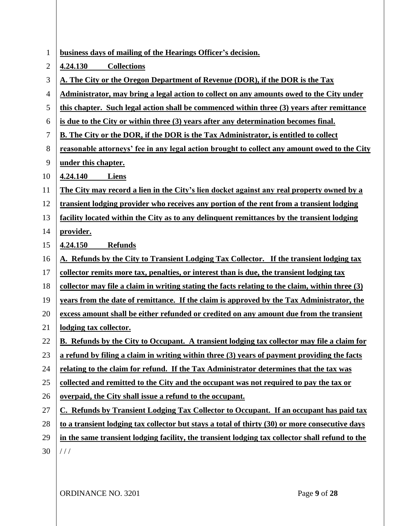| $\mathbf{1}$ | business days of mailing of the Hearings Officer's decision.                                      |
|--------------|---------------------------------------------------------------------------------------------------|
| 2            | 4.24.130<br><b>Collections</b>                                                                    |
| 3            | A. The City or the Oregon Department of Revenue (DOR), if the DOR is the Tax                      |
| 4            | Administrator, may bring a legal action to collect on any amounts owed to the City under          |
| 5            | this chapter. Such legal action shall be commenced within three (3) years after remittance        |
| 6            | is due to the City or within three (3) years after any determination becomes final.               |
| 7            | <b>B.</b> The City or the DOR, if the DOR is the Tax Administrator, is entitled to collect        |
| 8            | reasonable attorneys' fee in any legal action brought to collect any amount owed to the City      |
| 9            | under this chapter.                                                                               |
| 10           | 4.24.140<br>Liens                                                                                 |
| 11           | The City may record a lien in the City's lien docket against any real property owned by a         |
| 12           | transient lodging provider who receives any portion of the rent from a transient lodging          |
| 13           | facility located within the City as to any delinquent remittances by the transient lodging        |
| 14           | provider.                                                                                         |
| 15           | 4.24.150<br><b>Refunds</b>                                                                        |
| 16           | A. Refunds by the City to Transient Lodging Tax Collector. If the transient lodging tax           |
| 17           | collector remits more tax, penalties, or interest than is due, the transient lodging tax          |
| 18           | collector may file a claim in writing stating the facts relating to the claim, within three $(3)$ |
| 19           | years from the date of remittance. If the claim is approved by the Tax Administrator, the         |
| 20           | excess amount shall be either refunded or credited on any amount due from the transient           |
| 21           | lodging tax collector.                                                                            |
| 22           | B. Refunds by the City to Occupant. A transient lodging tax collector may file a claim for        |
| 23           | a refund by filing a claim in writing within three (3) years of payment providing the facts       |
| 24           | relating to the claim for refund. If the Tax Administrator determines that the tax was            |
| 25           | collected and remitted to the City and the occupant was not required to pay the tax or            |
| 26           | overpaid, the City shall issue a refund to the occupant.                                          |
| 27           | C. Refunds by Transient Lodging Tax Collector to Occupant. If an occupant has paid tax            |
| 28           | to a transient lodging tax collector but stays a total of thirty (30) or more consecutive days    |
| 29           | in the same transient lodging facility, the transient lodging tax collector shall refund to the   |
| 30           | 111                                                                                               |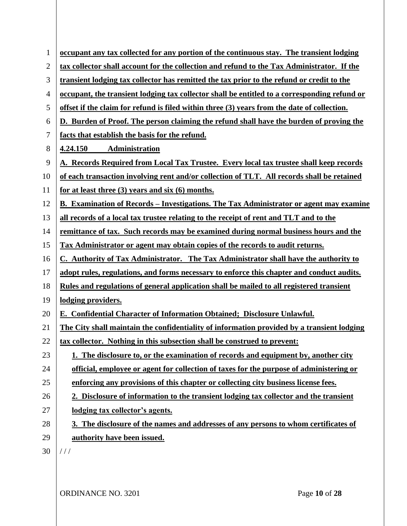| $\mathbf{1}$   | occupant any tax collected for any portion of the continuous stay. The transient lodging            |
|----------------|-----------------------------------------------------------------------------------------------------|
| $\overline{2}$ | tax collector shall account for the collection and refund to the Tax Administrator. If the          |
| 3              | transient lodging tax collector has remitted the tax prior to the refund or credit to the           |
| 4              | <u>occupant, the transient lodging tax collector shall be entitled to a corresponding refund or</u> |
| 5              | offset if the claim for refund is filed within three (3) years from the date of collection.         |
| 6              | D. Burden of Proof. The person claiming the refund shall have the burden of proving the             |
| 7              | facts that establish the basis for the refund.                                                      |
| 8              | <b>Administration</b><br>4.24.150                                                                   |
| 9              | A. Records Required from Local Tax Trustee. Every local tax trustee shall keep records              |
| 10             | of each transaction involving rent and/or collection of TLT. All records shall be retained          |
| 11             | for at least three $(3)$ years and six $(6)$ months.                                                |
| 12             | B. Examination of Records – Investigations. The Tax Administrator or agent may examine              |
| 13             | all records of a local tax trustee relating to the receipt of rent and TLT and to the               |
| 14             | remittance of tax. Such records may be examined during normal business hours and the                |
| 15             | Tax Administrator or agent may obtain copies of the records to audit returns.                       |
| 16             | C. Authority of Tax Administrator. The Tax Administrator shall have the authority to                |
| 17             | adopt rules, regulations, and forms necessary to enforce this chapter and conduct audits.           |
| 18             | Rules and regulations of general application shall be mailed to all registered transient            |
| 19             | lodging providers.                                                                                  |
| 20             | E. Confidential Character of Information Obtained; Disclosure Unlawful.                             |
| 21             | The City shall maintain the confidentiality of information provided by a transient lodging          |
| 22             | tax collector. Nothing in this subsection shall be construed to prevent:                            |
| 23             | 1. The disclosure to, or the examination of records and equipment by, another city                  |
| 24             | official, employee or agent for collection of taxes for the purpose of administering or             |
| 25             | enforcing any provisions of this chapter or collecting city business license fees.                  |
| 26             | 2. Disclosure of information to the transient lodging tax collector and the transient               |
| 27             | lodging tax collector's agents.                                                                     |
| 28             | 3. The disclosure of the names and addresses of any persons to whom certificates of                 |
| 29             | authority have been issued.                                                                         |
| 30             | 111                                                                                                 |
|                |                                                                                                     |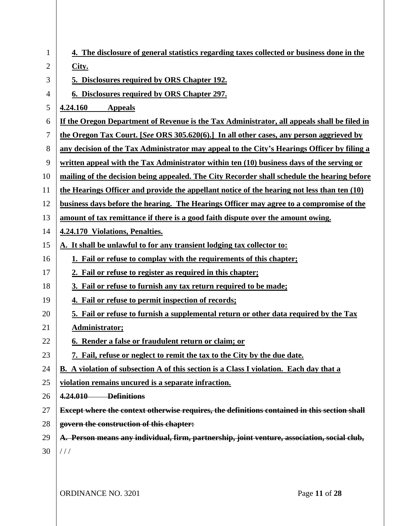| 1              | 4. The disclosure of general statistics regarding taxes collected or business done in the     |
|----------------|-----------------------------------------------------------------------------------------------|
| $\overline{2}$ | City.                                                                                         |
| 3              | 5. Disclosures required by ORS Chapter 192.                                                   |
| 4              | 6. Disclosures required by ORS Chapter 297.                                                   |
| 5              | 4.24.160<br><b>Appeals</b>                                                                    |
| 6              | If the Oregon Department of Revenue is the Tax Administrator, all appeals shall be filed in   |
| 7              | the Oregon Tax Court. [See ORS 305.620(6).] In all other cases, any person aggrieved by       |
| 8              | any decision of the Tax Administrator may appeal to the City's Hearings Officer by filing a   |
| 9              | written appeal with the Tax Administrator within ten (10) business days of the serving or     |
| 10             | mailing of the decision being appealed. The City Recorder shall schedule the hearing before   |
| 11             | the Hearings Officer and provide the appellant notice of the hearing not less than ten (10)   |
| 12             | business days before the hearing. The Hearings Officer may agree to a compromise of the       |
| 13             | amount of tax remittance if there is a good faith dispute over the amount owing.              |
| 14             | 4.24.170 Violations, Penalties.                                                               |
| 15             | A. It shall be unlawful to for any transient lodging tax collector to:                        |
| 16             | 1. Fail or refuse to complay with the requirements of this chapter;                           |
| 17             | 2. Fail or refuse to register as required in this chapter;                                    |
| 18             | 3. Fail or refuse to furnish any tax return required to be made;                              |
| 19             | 4. Fail or refuse to permit inspection of records;                                            |
| 20             | 5. Fail or refuse to furnish a supplemental return or other data required by the Tax          |
| 21             | Administrator;                                                                                |
| 22             | 6. Render a false or fraudulent return or claim; or                                           |
| 23             | 7. Fail, refuse or neglect to remit the tax to the City by the due date.                      |
| 24             | <b>B.</b> A violation of subsection A of this section is a Class I violation. Each day that a |
| 25             | violation remains uncured is a separate infraction.                                           |
| 26             | 4.24.010 Definitions                                                                          |
| 27             | Except where the context otherwise requires, the definitions contained in this section shall  |
| 28             | govern the construction of this chapter:                                                      |
| 29             | A. Person means any individual, firm, partnership, joint venture, association, social club,   |
| 30             | //                                                                                            |
|                |                                                                                               |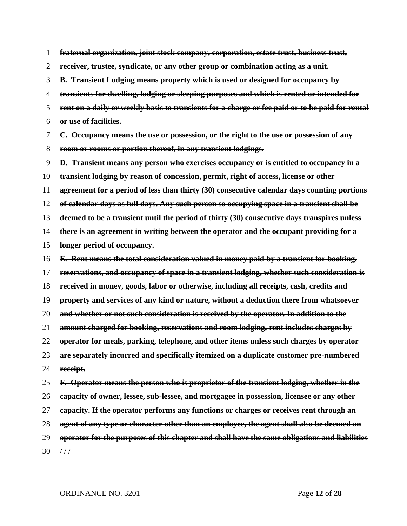1 2 3 4 5 6 7 8 9 10 11 12 13 14 15 16 17 18 19 20 21 22 23 24 25 26 27 28 29 30 **fraternal organization, joint stock company, corporation, estate trust, business trust, receiver, trustee, syndicate, or any other group or combination acting as a unit. B. Transient Lodging means property which is used or designed for occupancy by transients for dwelling, lodging or sleeping purposes and which is rented or intended for rent on a daily or weekly basis to transients for a charge or fee paid or to be paid for rental or use of facilities. C. Occupancy means the use or possession, or the right to the use or possession of any room or rooms or portion thereof, in any transient lodgings. D. Transient means any person who exercises occupancy or is entitled to occupancy in a transient lodging by reason of concession, permit, right of access, license or other agreement for a period of less than thirty (30) consecutive calendar days counting portions of calendar days as full days. Any such person so occupying space in a transient shall be deemed to be a transient until the period of thirty (30) consecutive days transpires unless there is an agreement in writing between the operator and the occupant providing for a longer period of occupancy. E. Rent means the total consideration valued in money paid by a transient for booking, reservations, and occupancy of space in a transient lodging, whether such consideration is received in money, goods, labor or otherwise, including all receipts, cash, credits and property and services of any kind or nature, without a deduction there from whatsoever and whether or not such consideration is received by the operator. In addition to the amount charged for booking, reservations and room lodging, rent includes charges by operator for meals, parking, telephone, and other items unless such charges by operator are separately incurred and specifically itemized on a duplicate customer pre-numbered receipt. F. Operator means the person who is proprietor of the transient lodging, whether in the capacity of owner, lessee, sub-lessee, and mortgagee in possession, licensee or any other capacity. If the operator performs any functions or charges or receives rent through an agent of any type or character other than an employee, the agent shall also be deemed an operator for the purposes of this chapter and shall have the same obligations and liabilities**   $111$ 

ORDINANCE NO. 3201 Page **12** of **28**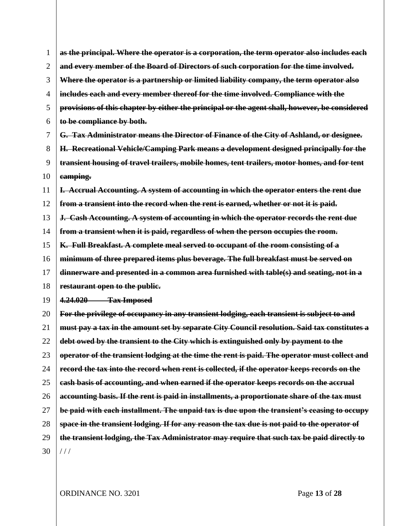1 2 3 4 5 6 7 8 9 10 11 12 13 14 15 16 17 18 19 20 21 22 23 24 25 26 27 28 29 30 **as the principal. Where the operator is a corporation, the term operator also includes each and every member of the Board of Directors of such corporation for the time involved. Where the operator is a partnership or limited liability company, the term operator also includes each and every member thereof for the time involved. Compliance with the provisions of this chapter by either the principal or the agent shall, however, be considered to be compliance by both. G. Tax Administrator means the Director of Finance of the City of Ashland, or designee. H. Recreational Vehicle/Camping Park means a development designed principally for the transient housing of travel trailers, mobile homes, tent trailers, motor homes, and for tent camping. I. Accrual Accounting. A system of accounting in which the operator enters the rent due from a transient into the record when the rent is earned, whether or not it is paid. J. Cash Accounting. A system of accounting in which the operator records the rent due from a transient when it is paid, regardless of when the person occupies the room. K. Full Breakfast. A complete meal served to occupant of the room consisting of a minimum of three prepared items plus beverage. The full breakfast must be served on dinnerware and presented in a common area furnished with table(s) and seating, not in a restaurant open to the public. 4.24.020 Tax Imposed For the privilege of occupancy in any transient lodging, each transient is subject to and must pay a tax in the amount set by separate City Council resolution. Said tax constitutes a debt owed by the transient to the City which is extinguished only by payment to the operator of the transient lodging at the time the rent is paid. The operator must collect and record the tax into the record when rent is collected, if the operator keeps records on the cash basis of accounting, and when earned if the operator keeps records on the accrual accounting basis. If the rent is paid in installments, a proportionate share of the tax must be paid with each installment. The unpaid tax is due upon the transient's ceasing to occupy space in the transient lodging. If for any reason the tax due is not paid to the operator of the transient lodging, the Tax Administrator may require that such tax be paid directly to**   $111$ 

ORDINANCE NO. 3201 Page **13** of **28**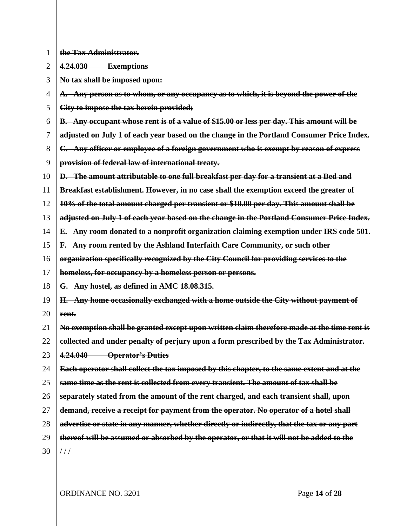1 **the Tax Administrator.**

 $\overline{2}$ **4.24.030 Exemptions**

3 **No tax shall be imposed upon:**

4 **A. Any person as to whom, or any occupancy as to which, it is beyond the power of the** 

5 **City to impose the tax herein provided;**

6 **B. Any occupant whose rent is of a value of \$15.00 or less per day. This amount will be** 

7 **adjusted on July 1 of each year based on the change in the Portland Consumer Price Index.**

8 **C. Any officer or employee of a foreign government who is exempt by reason of express** 

9 **provision of federal law of international treaty.**

10 **D. The amount attributable to one full breakfast per day for a transient at a Bed and** 

- 11 **Breakfast establishment. However, in no case shall the exemption exceed the greater of**
- 12 **10% of the total amount charged per transient or \$10.00 per day. This amount shall be**
- 13 **adjusted on July 1 of each year based on the change in the Portland Consumer Price Index.**
- 14 **E. Any room donated to a nonprofit organization claiming exemption under IRS code 501.**
- 15 **F. Any room rented by the Ashland Interfaith Care Community, or such other**
- 16 **organization specifically recognized by the City Council for providing services to the**

17 **homeless, for occupancy by a homeless person or persons.**

- 18 **G. Any hostel, as defined in AMC [18.08.315.](https://ashland.municipal.codes/AMC/18.08.315)**
- 19 20 **H. Any home occasionally exchanged with a home outside the City without payment of rent.**

21 **No exemption shall be granted except upon written claim therefore made at the time rent is** 

22 **collected and under penalty of perjury upon a form prescribed by the Tax Administrator.** 

- 23 **4.24.040 Operator's Duties**
- 24 25 **Each operator shall collect the tax imposed by this chapter, to the same extent and at the same time as the rent is collected from every transient. The amount of tax shall be**
- 26 **separately stated from the amount of the rent charged, and each transient shall, upon**
- 27 **demand, receive a receipt for payment from the operator. No operator of a hotel shall**
- 28 **advertise or state in any manner, whether directly or indirectly, that the tax or any part**
- 29 **thereof will be assumed or absorbed by the operator, or that it will not be added to the**
- 30

 $1/1$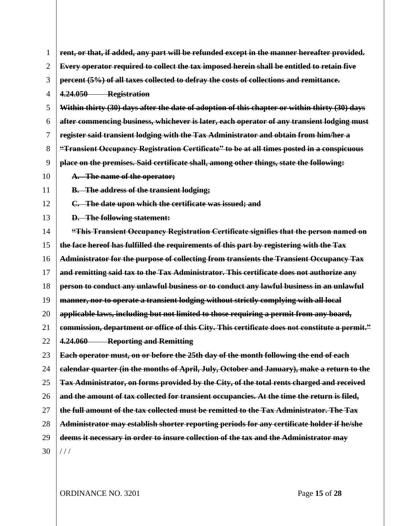| $\mathbf{1}$   | rent, or that, if added, any part will be refunded except in the manner hereafter provided.    |
|----------------|------------------------------------------------------------------------------------------------|
| $\overline{2}$ | Every operator required to collect the tax imposed herein shall be entitled to retain five     |
| 3              | percent (5%) of all taxes collected to defray the costs of collections and remittance.         |
| 4              | 4.24.050 Registration                                                                          |
| 5              | Within thirty (30) days after the date of adoption of this chapter or within thirty (30) days  |
| 6              | after commencing business, whichever is later, each operator of any transient lodging must     |
| 7              | register said transient lodging with the Tax Administrator and obtain from him/her a           |
| 8              | "Transient Occupancy Registration Certificate" to be at all times posted in a conspicuous      |
| 9              | place on the premises. Said certificate shall, among other things, state the following:        |
| 10             | A. The name of the operator;                                                                   |
| 11             | <b>B.</b> The address of the transient lodging;                                                |
| 12             | C. The date upon which the certificate was issued; and                                         |
| 13             | <b>D.</b> The following statement:                                                             |
| 14             | "This Transient Occupancy Registration Certificate signifies that the person named on          |
| 15             | the face hereof has fulfilled the requirements of this part by registering with the Tax        |
| 16             | Administrator for the purpose of collecting from transients the Transient Occupancy Tax        |
| 17             | and remitting said tax to the Tax Administrator. This certificate does not authorize any       |
| 18             | person to conduct any unlawful business or to conduct any lawful business in an unlawful       |
| 19             | manner, nor to operate a transient lodging without strictly complying with all local           |
| 20             | applicable laws, including but not limited to those requiring a permit from any board,         |
| 21             | commission, department or office of this City. This certificate does not constitute a permit." |
| 22             | 4.24.060 Reporting and Remitting                                                               |
| 23             | Each operator must, on or before the 25th day of the month following the end of each           |
| 24             | calendar quarter (in the months of April, July, October and January), make a return to the     |
| 25             | Tax Administrator, on forms provided by the City, of the total rents charged and received      |
| 26             | and the amount of tax collected for transient occupancies. At the time the return is filed,    |
| 27             | the full amount of the tax collected must be remitted to the Tax Administrator. The Tax        |
| 28             | Administrator may establish shorter reporting periods for any certificate holder if he/she     |
| 29             | deems it necessary in order to insure collection of the tax and the Administrator may          |
| 30             | //                                                                                             |
|                |                                                                                                |

ORDINANCE NO. 3201 Page **15** of **28**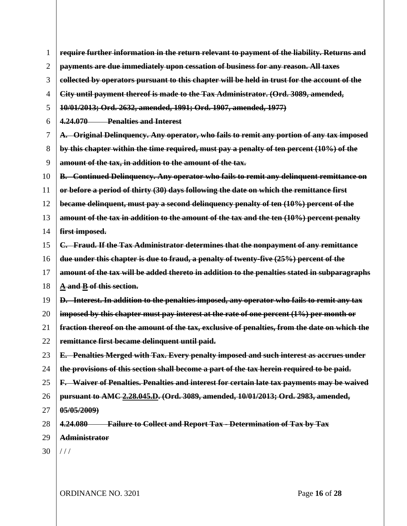<span id="page-16-1"></span><span id="page-16-0"></span>

| 1              | require further information in the return relevant to payment of the liability. Returns and       |
|----------------|---------------------------------------------------------------------------------------------------|
| $\overline{2}$ | payments are due immediately upon cessation of business for any reason. All taxes                 |
| 3              | collected by operators pursuant to this chapter will be held in trust for the account of the      |
| 4              | City until payment thereof is made to the Tax Administrator. (Ord. 3089, amended,                 |
| 5              | 10/01/2013; Ord. 2632, amended, 1991; Ord. 1907, amended, 1977)                                   |
| 6              | 4.24.070 Penalties and Interest                                                                   |
| 7              | A. Original Delinquency. Any operator, who fails to remit any portion of any tax imposed          |
| 8              | by this chapter within the time required, must pay a penalty of ten percent (10%) of the          |
| 9              | amount of the tax, in addition to the amount of the tax.                                          |
| 10             | <b>B.</b> Continued Delinquency. Any operator who fails to remit any delinquent remittance on     |
| 11             | or before a period of thirty (30) days following the date on which the remittance first           |
| 12             | became delinquent, must pay a second delinquency penalty of ten (10%) percent of the              |
| 13             | amount of the tax in addition to the amount of the tax and the ten (10%) percent penalty          |
| 14             | first imposed.                                                                                    |
| 15             | C. Fraud. If the Tax Administrator determines that the nonpayment of any remittance               |
| 16             | due under this chapter is due to fraud, a penalty of twenty-five (25%) percent of the             |
| 17             | amount of the tax will be added thereto in addition to the penalties stated in subparagraphs      |
| 18             | A and B of this section.                                                                          |
| 19             | <b>D.</b> Interest. In addition to the penalties imposed, any operator who fails to remit any tax |
| 20             | imposed by this chapter must pay interest at the rate of one percent (1%) per month or            |
| 21             | fraction thereof on the amount of the tax, exclusive of penalties, from the date on which the     |
| 22             | remittance first became delinquent until paid.                                                    |
| 23             | <b>E.</b> Penalties Merged with Tax. Every penalty imposed and such interest as accrues under     |
| 24             | the provisions of this section shall become a part of the tax herein required to be paid.         |
| 25             | F. Waiver of Penalties. Penalties and interest for certain late tax payments may be waived        |
| 26             | pursuant to AMC 2.28.045.D. (Ord. 3089, amended, 10/01/2013; Ord. 2983, amended,                  |
| 27             | 05/05/2009                                                                                        |
| 28             | <b>Failure to Collect and Report Tax - Determination of Tax by Tax</b><br>4.24.080                |
| 29             | <b>Administrator</b>                                                                              |
| 30             | 111                                                                                               |
|                |                                                                                                   |

ORDINANCE NO. 3201 Page **16** of **28**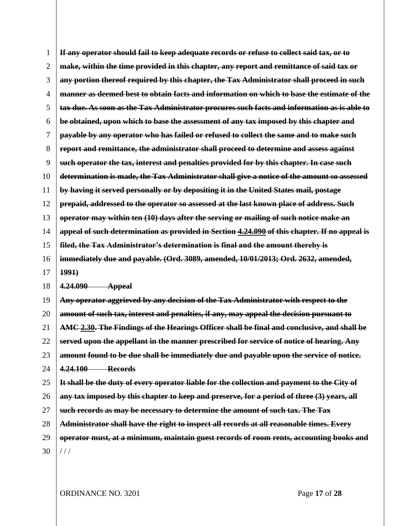<span id="page-17-0"></span>

| 1              | If any operator should fail to keep adequate records or refuse to collect said tax, or to     |
|----------------|-----------------------------------------------------------------------------------------------|
| $\overline{2}$ | make, within the time provided in this chapter, any report and remittance of said tax or      |
| 3              | any portion thereof required by this chapter, the Tax Administrator shall proceed in such     |
| 4              | manner as deemed best to obtain facts and information on which to base the estimate of the    |
| 5              | tax due. As soon as the Tax Administrator procures such facts and information as is able to   |
| 6              | be obtained, upon which to base the assessment of any tax imposed by this chapter and         |
| 7              | payable by any operator who has failed or refused to collect the same and to make such        |
| 8              | report and remittance, the administrator shall proceed to determine and assess against        |
| 9              | such operator the tax, interest and penalties provided for by this chapter. In case such      |
| 10             | determination is made, the Tax Administrator shall give a notice of the amount so assessed    |
| 11             | by having it served personally or by depositing it in the United States mail, postage         |
| 12             | prepaid, addressed to the operator so assessed at the last known place of address. Such       |
| 13             | operator may within ten (10) days after the serving or mailing of such notice make an         |
| 14             | appeal of such determination as provided in Section 4.24.090 of this chapter. If no appeal is |
| 15             | filed, the Tax Administrator's determination is final and the amount thereby is               |
| 16             | immediately due and payable. (Ord. 3089, amended, 10/01/2013; Ord. 2632, amended,             |
| 17             | 1991                                                                                          |
| 18             | 4,24,090<br><b>Appeal</b>                                                                     |
| 19             | Any operator aggrieved by any decision of the Tax Administrator with respect to the           |
| 20             | amount of such tax, interest and penalties, if any, may appeal the decision pursuant to       |
| 21             | AMC 2.30. The Findings of the Hearings Officer shall be final and conclusive, and shall be    |
| 22             | served upon the appellant in the manner prescribed for service of notice of hearing. Any      |
| 23             | amount found to be due shall be immediately due and payable upon the service of notice.       |
| 24             | 4.24.100 Records                                                                              |
| 25             | It shall be the duty of every operator liable for the collection and payment to the City of   |
| 26             | any tax imposed by this chapter to keep and preserve, for a period of three (3) years, all    |
| 27             | such records as may be necessary to determine the amount of such tax. The Tax                 |
| 28             | Administrator shall have the right to inspect all records at all reasonable times. Every      |
|                |                                                                                               |
| 29             | operator must, at a minimum, maintain guest records of room rents, accounting books and       |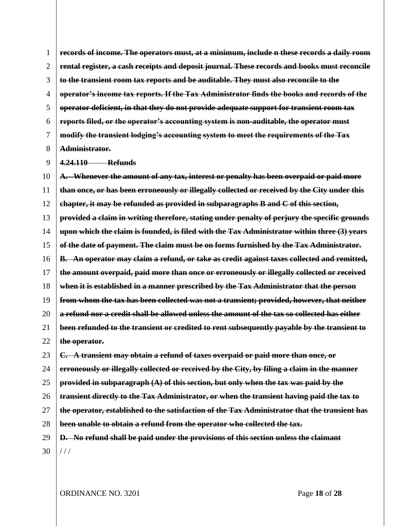1 2 3 4 5 6 7 8 **records of income. The operators must, at a minimum, include n these records a daily room rental register, a cash receipts and deposit journal. These records and books must reconcile to the transient room tax reports and be auditable. They must also reconcile to the operator's income tax reports. If the Tax Administrator finds the books and records of the operator deficient, in that they do not provide adequate support for transient room tax reports filed, or the operator's accounting system is non-auditable, the operator must modify the transient lodging's accounting system to meet the requirements of the Tax Administrator.**

9 **4.24.110 Refunds**

<span id="page-18-0"></span>10 11 12 13 14 15 16 17 18 19 20 21 22 **A. Whenever the amount of any tax, interest or penalty has been overpaid or paid more than once, or has been erroneously or illegally collected or received by the City under this chapter, it may be refunded as provided in subparagraphs [B](#page-18-0) and [C](#page-18-1) of this section, provided a claim in writing therefore, stating under penalty of perjury the specific grounds upon which the claim is founded, is filed with the Tax Administrator within three (3) years of the date of payment. The claim must be on forms furnished by the Tax Administrator. B. An operator may claim a refund, or take as credit against taxes collected and remitted, the amount overpaid, paid more than once or erroneously or illegally collected or received when it is established in a manner prescribed by the Tax Administrator that the person from whom the tax has been collected was not a transient; provided, however, that neither a refund nor a credit shall be allowed unless the amount of the tax so collected has either been refunded to the transient or credited to rent subsequently payable by the transient to the operator.**

<span id="page-18-1"></span>23 24 25 26 27 28 29 30 **C. A transient may obtain a refund of taxes overpaid or paid more than once, or erroneously or illegally collected or received by the City, by filing a claim in the manner provided in subparagraph (A) of this section, but only when the tax was paid by the transient directly to the Tax Administrator, or when the transient having paid the tax to the operator, established to the satisfaction of the Tax Administrator that the transient has been unable to obtain a refund from the operator who collected the tax. D. No refund shall be paid under the provisions of this section unless the claimant**   $1/1$ 

ORDINANCE NO. 3201 Page **18** of **28**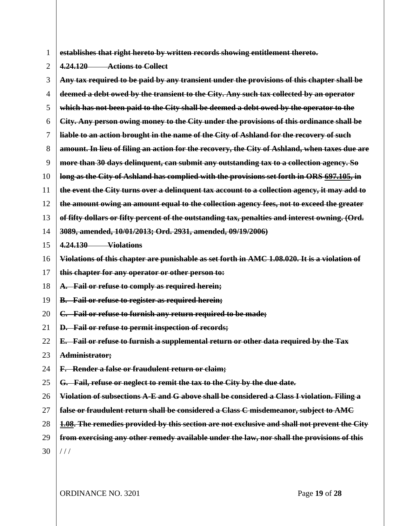1 **establishes that right hereto by written records showing entitlement thereto.** 

2 **4.24.120 Actions to Collect**

3 4 5 6 7 8 9 10 11 12 13 14 15 16 17 18 19 20 21 22 23 24 25 26 27 28 29 30 **Any tax required to be paid by any transient under the provisions of this chapter shall be deemed a debt owed by the transient to the City. Any such tax collected by an operator which has not been paid to the City shall be deemed a debt owed by the operator to the City. Any person owing money to the City under the provisions of this ordinance shall be liable to an action brought in the name of the City of Ashland for the recovery of such amount. In lieu of filing an action for the recovery, the City of Ashland, when taxes due are more than 30 days delinquent, can submit any outstanding tax to a collection agency. So long as the City of Ashland has complied with the provisions set forth in ORS [697.105,](https://ashland.municipal.codes/OR/ORS/697.105) in the event the City turns over a delinquent tax account to a collection agency, it may add to the amount owing an amount equal to the collection agency fees, not to exceed the greater of fifty dollars or fifty percent of the outstanding tax, penalties and interest owning. (Ord. 3089, amended, 10/01/2013; Ord. 2931, amended, 09/19/2006) 4.24.130 Violations Violations of this chapter are punishable as set forth in AMC [1.08.020.](https://ashland.municipal.codes/AMC/1.08.020) It is a violation of this chapter for any operator or other person to: A. Fail or refuse to comply as required herein; B. Fail or refuse to register as required herein; C. Fail or refuse to furnish any return required to be made; D. Fail or refuse to permit inspection of records; E. Fail or refuse to furnish a supplemental return or other data required by the Tax Administrator; F. Render a false or fraudulent return or claim; G. Fail, refuse or neglect to remit the tax to the City by the due date. Violation of subsections A-E and G above shall be considered a Class I violation. Filing a false or fraudulent return shall be considered a Class C misdemeanor, subject to AMC [1.08.](https://ashland.municipal.codes/AMC/1.08) The remedies provided by this section are not exclusive and shall not prevent the City from exercising any other remedy available under the law, nor shall the provisions of this**   $1/1$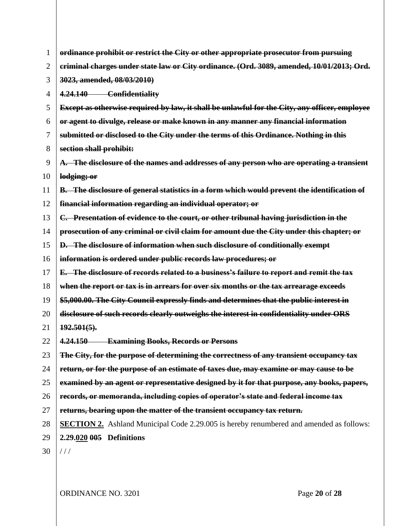| 1  | ordinance prohibit or restrict the City or other appropriate prosecutor from pursuing              |
|----|----------------------------------------------------------------------------------------------------|
| 2  | eriminal charges under state law or City ordinance. (Ord. 3089, amended, 10/01/2013; Ord.          |
| 3  | 3023, amended, 08/03/2010)                                                                         |
| 4  | 4.24.140 Confidentiality                                                                           |
| 5  | Except as otherwise required by law, it shall be unlawful for the City, any officer, employee      |
| 6  | or agent to divulge, release or make known in any manner any financial information                 |
| 7  | submitted or disclosed to the City under the terms of this Ordinance. Nothing in this              |
| 8  | section shall prohibit:                                                                            |
| 9  | A. The disclosure of the names and addresses of any person who are operating a transient           |
| 10 | lodging; or                                                                                        |
| 11 | <b>B.</b> The disclosure of general statistics in a form which would prevent the identification of |
| 12 | financial information regarding an individual operator; or                                         |
| 13 | C. Presentation of evidence to the court, or other tribunal having jurisdiction in the             |
| 14 | prosecution of any criminal or civil claim for amount due the City under this chapter; or          |
| 15 | <b>D.</b> The disclosure of information when such disclosure of conditionally exempt               |
| 16 | information is ordered under public records law procedures; or                                     |
| 17 | E. The disclosure of records related to a business's failure to report and remit the tax           |
| 18 | when the report or tax is in arrears for over six months or the tax arrearage exceeds              |
| 19 | \$5,000.00. The City Council expressly finds and determines that the public interest in            |
| 20 | disclosure of such records clearly outweighs the interest in confidentiality under ORS             |
| 21 | $192.501(5)$ .                                                                                     |
| 22 | 4.24.150 Examining Books, Records or Persons                                                       |
| 23 | The City, for the purpose of determining the correctness of any transient occupancy tax            |
| 24 | return, or for the purpose of an estimate of taxes due, may examine or may cause to be             |
| 25 | examined by an agent or representative designed by it for that purpose, any books, papers,         |
| 26 | records, or memoranda, including copies of operator's state and federal income tax                 |
| 27 | returns, bearing upon the matter of the transient occupancy tax return.                            |
| 28 | <b>SECTION 2.</b> Ashland Municipal Code 2.29.005 is hereby renumbered and amended as follows:     |
| 29 | 2.29.020 005 Definitions                                                                           |
| 30 | 111                                                                                                |
|    |                                                                                                    |

ORDINANCE NO. 3201 Page **20** of **28**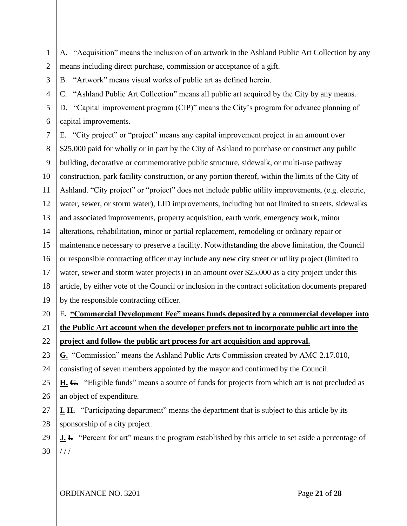1 2 A. "Acquisition" means the inclusion of an artwork in the Ashland Public Art Collection by any means including direct purchase, commission or acceptance of a gift.

B. "Artwork" means visual works of public art as defined herein.

3

4 C. "Ashland Public Art Collection" means all public art acquired by the City by any means.

5 6 D. "Capital improvement program (CIP)" means the City's program for advance planning of capital improvements.

7 8 9 10 11 12 13 14 15 16 17 18 19 E. "City project" or "project" means any capital improvement project in an amount over \$25,000 paid for wholly or in part by the City of Ashland to purchase or construct any public building, decorative or commemorative public structure, sidewalk, or multi-use pathway construction, park facility construction, or any portion thereof, within the limits of the City of Ashland. "City project" or "project" does not include public utility improvements, (e.g. electric, water, sewer, or storm water), LID improvements, including but not limited to streets, sidewalks and associated improvements, property acquisition, earth work, emergency work, minor alterations, rehabilitation, minor or partial replacement, remodeling or ordinary repair or maintenance necessary to preserve a facility. Notwithstanding the above limitation, the Council or responsible contracting officer may include any new city street or utility project (limited to water, sewer and storm water projects) in an amount over \$25,000 as a city project under this article, by either vote of the Council or inclusion in the contract solicitation documents prepared by the responsible contracting officer.

20 F**. "Commercial Development Fee" means funds deposited by a commercial developer into** 

21 22 **the Public Art account when the developer prefers not to incorporate public art into the** 

**project and follow the public art process for art acquisition and approval.**

23 **G.** "Commission" means the Ashland Public Arts Commission created by AMC [2.17.010,](https://ashland.municipal.codes/AMC/2.17.010)

24 consisting of seven members appointed by the mayor and confirmed by the Council.

25 26 **H. G.** "Eligible funds" means a source of funds for projects from which art is not precluded as an object of expenditure.

27 28 **I. H.** "Participating department" means the department that is subject to this article by its sponsorship of a city project.

29 30 **J. I.** "Percent for art" means the program established by this article to set aside a percentage of  $1/1$ 

ORDINANCE NO. 3201 Page **21** of **28**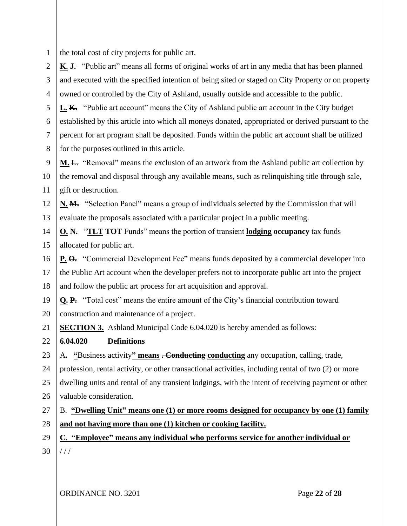1 the total cost of city projects for public art.

2 3 4 **K. J.** "Public art" means all forms of original works of art in any media that has been planned and executed with the specified intention of being sited or staged on City Property or on property owned or controlled by the City of Ashland, usually outside and accessible to the public.

5 6 7 8 **L. K.** "Public art account" means the City of Ashland public art account in the City budget established by this article into which all moneys donated, appropriated or derived pursuant to the percent for art program shall be deposited. Funds within the public art account shall be utilized for the purposes outlined in this article.

9 10 11 **M. L**. "Removal" means the exclusion of an artwork from the Ashland public art collection by the removal and disposal through any available means, such as relinquishing title through sale, gift or destruction.

12 13 **N. M.** "Selection Panel" means a group of individuals selected by the Commission that will evaluate the proposals associated with a particular project in a public meeting.

14 15 **O. N.** "**TLT TOT** Funds" means the portion of transient **lodging occupancy** tax funds allocated for public art.

16 **P. O.** "Commercial Development Fee" means funds deposited by a commercial developer into

17 18 the Public Art account when the developer prefers not to incorporate public art into the project and follow the public art process for art acquisition and approval.

19 20 **Q. P.** "Total cost" means the entire amount of the City's financial contribution toward construction and maintenance of a project.

21 **SECTION 3.** Ashland Municipal Code 6.04.020 is hereby amended as follows:

- 22 **6.04.020 Definitions**
- 23 A**. "**Business activity**" means . Conducting conducting** any occupation, calling, trade,

24 25 26 profession, rental activity, or other transactional activities, including rental of two (2) or more dwelling units and rental of any transient lodgings, with the intent of receiving payment or other valuable consideration.

27 28 B. **"Dwelling Unit" means one (1) or more rooms designed for occupancy by one (1) family and not having more than one (1) kitchen or cooking facility.**

29 30 **C. "Employee" means any individual who performs service for another individual or**   $1/1$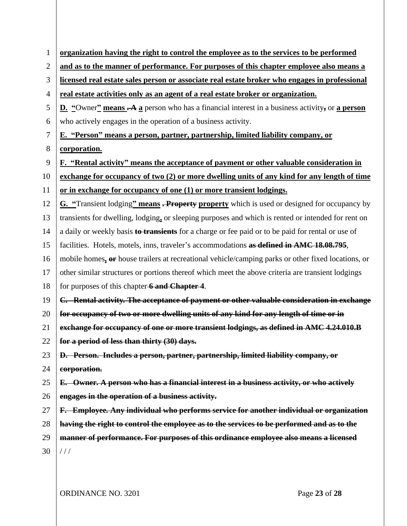| $\mathbf{1}$   | organization having the right to control the employee as to the services to be performed                          |
|----------------|-------------------------------------------------------------------------------------------------------------------|
| $\overline{2}$ | and as to the manner of performance. For purposes of this chapter employee also means a                           |
| 3              | licensed real estate sales person or associate real estate broker who engages in professional                     |
| 4              | real estate activities only as an agent of a real estate broker or organization.                                  |
| 5              | <b>D.</b> "Owner" means $\rightarrow$ A a person who has a financial interest in a business activity, or a person |
| 6              | who actively engages in the operation of a business activity.                                                     |
| $\tau$         | E. "Person" means a person, partner, partnership, limited liability company, or                                   |
| 8              | corporation.                                                                                                      |
| 9              |                                                                                                                   |
|                | F. "Rental activity" means the acceptance of payment or other valuable consideration in                           |
| 10             | exchange for occupancy of two (2) or more dwelling units of any kind for any length of time                       |
| 11             | or in exchange for occupancy of one (1) or more transient lodgings.                                               |
| 12             | G. "Transient lodging" means - Property property which is used or designed for occupancy by                       |
| 13             | transients for dwelling, lodging, or sleeping purposes and which is rented or intended for rent on                |
| 14             | a daily or weekly basis to transients for a charge or fee paid or to be paid for rental or use of                 |
| 15             | facilities. Hotels, motels, inns, traveler's accommodations as defined in AMC 18.08.795,                          |
| 16             | mobile homes, or house trailers at recreational vehicle/camping parks or other fixed locations, or                |
| 17             | other similar structures or portions thereof which meet the above criteria are transient lodgings                 |
| 18             | for purposes of this chapter 6 and Chapter 4.                                                                     |
| 19             | C. Rental activity. The acceptance of payment or other valuable consideration in exchange                         |
| 20             | for occupancy of two or more dwelling units of any kind for any length of time or in                              |
| 21             | exchange for occupancy of one or more transient lodgings, as defined in AMC 4.24.010.B                            |
| 22             | for a period of less than thirty (30) days.                                                                       |
| 23             | D. Person. Includes a person, partner, partnership, limited liability company, or                                 |
| 24             | corporation.                                                                                                      |
| 25             | E. Owner. A person who has a financial interest in a business activity, or who actively                           |
| 26             | engages in the operation of a business activity.                                                                  |
| 27             | F. Employee. Any individual who performs service for another individual or organization                           |
| 28             | having the right to control the employee as to the services to be performed and as to the                         |
| 29             | manner of performance. For purposes of this ordinance employee also means a licensed                              |
| 30             | //                                                                                                                |
|                |                                                                                                                   |

ORDINANCE NO. 3201 Page **23** of **28**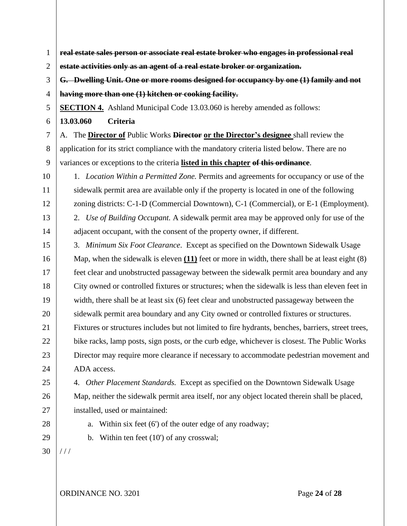1 2 3 4 5 6 7 8 9 10 11 12 13 14 15 16 17 18 19 20 21 22 23 24 25 26 27 28 29 30 **real estate sales person or associate real estate broker who engages in professional real estate activities only as an agent of a real estate broker or organization. G. Dwelling Unit. One or more rooms designed for occupancy by one (1) family and not having more than one (1) kitchen or cooking facility. SECTION 4.** Ashland Municipal Code 13.03.060 is hereby amended as follows: **13.03.060 Criteria**  A. The **Director of** Public Works **Director or the Director's designee** shall review the application for its strict compliance with the mandatory criteria listed below. There are no variances or exceptions to the criteria **listed in this chapter of this ordinance**. 1. *Location Within a Permitted Zone.* Permits and agreements for occupancy or use of the sidewalk permit area are available only if the property is located in one of the following zoning districts: C-1-D (Commercial Downtown), C-1 (Commercial), or E-1 (Employment). 2. *Use of Building Occupant.* A sidewalk permit area may be approved only for use of the adjacent occupant, with the consent of the property owner, if different. 3. *Minimum Six Foot Clearance*. Except as specified on the Downtown Sidewalk Usage Map, when the sidewalk is eleven **(11)** feet or more in width, there shall be at least eight (8) feet clear and unobstructed passageway between the sidewalk permit area boundary and any City owned or controlled fixtures or structures; when the sidewalk is less than eleven feet in width, there shall be at least six (6) feet clear and unobstructed passageway between the sidewalk permit area boundary and any City owned or controlled fixtures or structures. Fixtures or structures includes but not limited to fire hydrants, benches, barriers, street trees, bike racks, lamp posts, sign posts, or the curb edge, whichever is closest. The Public Works Director may require more clearance if necessary to accommodate pedestrian movement and ADA access. 4. *Other Placement Standards.* Except as specified on the Downtown Sidewalk Usage Map, neither the sidewalk permit area itself, nor any object located therein shall be placed, installed, used or maintained: a. Within six feet (6') of the outer edge of any roadway; b. Within ten feet (10') of any crosswal;  $1/1$ 

ORDINANCE NO. 3201 Page 24 of 28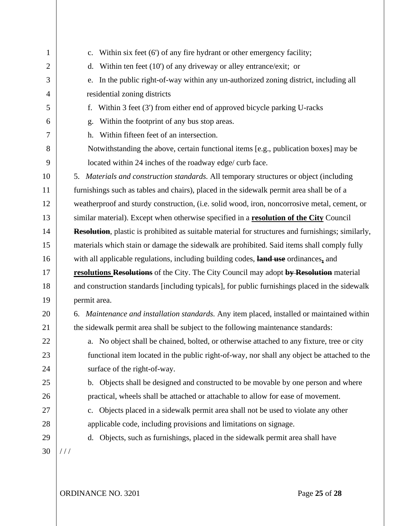| $\mathbf{1}$   | Within six feet (6') of any fire hydrant or other emergency facility;<br>c.                               |  |
|----------------|-----------------------------------------------------------------------------------------------------------|--|
| $\overline{2}$ | Within ten feet (10') of any driveway or alley entrance/exit; or<br>d.                                    |  |
| 3              | In the public right-of-way within any un-authorized zoning district, including all<br>e.                  |  |
| 4              | residential zoning districts                                                                              |  |
| 5              | Within 3 feet (3') from either end of approved bicycle parking U-racks<br>f.                              |  |
| 6              | Within the footprint of any bus stop areas.<br>g.                                                         |  |
| 7              | Within fifteen feet of an intersection.<br>h.                                                             |  |
| 8              | Notwithstanding the above, certain functional items [e.g., publication boxes] may be                      |  |
| 9              | located within 24 inches of the roadway edge/ curb face.                                                  |  |
| 10             | 5. Materials and construction standards. All temporary structures or object (including                    |  |
| 11             | furnishings such as tables and chairs), placed in the sidewalk permit area shall be of a                  |  |
| 12             | weatherproof and sturdy construction, (i.e. solid wood, iron, noncorrosive metal, cement, or              |  |
| 13             | similar material). Except when otherwise specified in a resolution of the City Council                    |  |
| 14             | <b>Resolution</b> , plastic is prohibited as suitable material for structures and furnishings; similarly, |  |
| 15             | materials which stain or damage the sidewalk are prohibited. Said items shall comply fully                |  |
| 16             | with all applicable regulations, including building codes, land use ordinances, and                       |  |
| 17             | resolutions Resolutions of the City. The City Council may adopt by Resolution material                    |  |
| 18             | and construction standards [including typicals], for public furnishings placed in the sidewalk            |  |
| 19             | permit area.                                                                                              |  |
| 20             | 6. Maintenance and installation standards. Any item placed, installed or maintained within                |  |
| 21             | the sidewalk permit area shall be subject to the following maintenance standards:                         |  |
| 22             | a. No object shall be chained, bolted, or otherwise attached to any fixture, tree or city                 |  |
| 23             | functional item located in the public right-of-way, nor shall any object be attached to the               |  |
| 24             | surface of the right-of-way.                                                                              |  |
| 25             | b. Objects shall be designed and constructed to be movable by one person and where                        |  |
| 26             | practical, wheels shall be attached or attachable to allow for ease of movement.                          |  |
| 27             | Objects placed in a sidewalk permit area shall not be used to violate any other<br>c.                     |  |
| 28             | applicable code, including provisions and limitations on signage.                                         |  |
| 29             | d. Objects, such as furnishings, placed in the sidewalk permit area shall have                            |  |
| 30             | //                                                                                                        |  |
|                |                                                                                                           |  |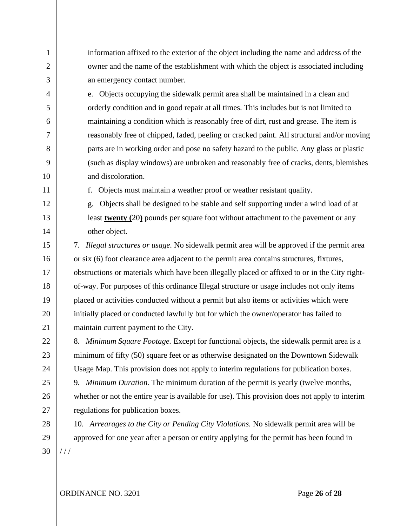1  $\overline{2}$ 3 4 5 6 7 8 9 10 11 12 13 14 15 16 17 18 19 20 21 22 23 24 25 26 27 28 29 30 information affixed to the exterior of the object including the name and address of the owner and the name of the establishment with which the object is associated including an emergency contact number. e. Objects occupying the sidewalk permit area shall be maintained in a clean and orderly condition and in good repair at all times. This includes but is not limited to maintaining a condition which is reasonably free of dirt, rust and grease. The item is reasonably free of chipped, faded, peeling or cracked paint. All structural and/or moving parts are in working order and pose no safety hazard to the public. Any glass or plastic (such as display windows) are unbroken and reasonably free of cracks, dents, blemishes and discoloration. f. Objects must maintain a weather proof or weather resistant quality. g. Objects shall be designed to be stable and self supporting under a wind load of at least **twenty (**20**)** pounds per square foot without attachment to the pavement or any other object. 7. *Illegal structures or usage.* No sidewalk permit area will be approved if the permit area or six (6) foot clearance area adjacent to the permit area contains structures, fixtures, obstructions or materials which have been illegally placed or affixed to or in the City rightof-way. For purposes of this ordinance Illegal structure or usage includes not only items placed or activities conducted without a permit but also items or activities which were initially placed or conducted lawfully but for which the owner/operator has failed to maintain current payment to the City. 8. *Minimum Square Footage.* Except for functional objects, the sidewalk permit area is a minimum of fifty (50) square feet or as otherwise designated on the Downtown Sidewalk Usage Map. This provision does not apply to interim regulations for publication boxes. 9. *Minimum Duration.* The minimum duration of the permit is yearly (twelve months, whether or not the entire year is available for use). This provision does not apply to interim regulations for publication boxes. 10. *Arrearages to the City or Pending City Violations.* No sidewalk permit area will be approved for one year after a person or entity applying for the permit has been found in  $1/1$ 

ORDINANCE NO. 3201 Page **26** of **28**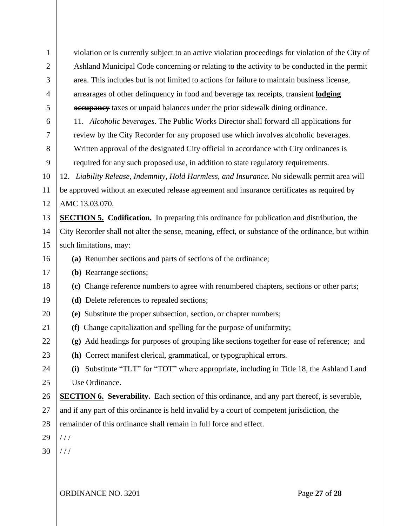| $\mathbf{1}$ |                                                                                                     |  |  |  |
|--------------|-----------------------------------------------------------------------------------------------------|--|--|--|
|              | violation or is currently subject to an active violation proceedings for violation of the City of   |  |  |  |
| 2            | Ashland Municipal Code concerning or relating to the activity to be conducted in the permit         |  |  |  |
| 3            | area. This includes but is not limited to actions for failure to maintain business license,         |  |  |  |
| 4            | arrearages of other delinquency in food and beverage tax receipts, transient <b>lodging</b>         |  |  |  |
| 5            | <b>eccupancy</b> taxes or unpaid balances under the prior sidewalk dining ordinance.                |  |  |  |
| 6            | 11. Alcoholic beverages. The Public Works Director shall forward all applications for               |  |  |  |
| $\tau$       | review by the City Recorder for any proposed use which involves alcoholic beverages.                |  |  |  |
| 8            | Written approval of the designated City official in accordance with City ordinances is              |  |  |  |
| 9            | required for any such proposed use, in addition to state regulatory requirements.                   |  |  |  |
| 10           | 12. Liability Release, Indemnity, Hold Harmless, and Insurance. No sidewalk permit area will        |  |  |  |
| 11           | be approved without an executed release agreement and insurance certificates as required by         |  |  |  |
| 12           | AMC 13.03.070.                                                                                      |  |  |  |
| 13           | <b>SECTION 5. Codification.</b> In preparing this ordinance for publication and distribution, the   |  |  |  |
| 14           | City Recorder shall not alter the sense, meaning, effect, or substance of the ordinance, but within |  |  |  |
| 15           | such limitations, may:                                                                              |  |  |  |
| 16           | (a) Renumber sections and parts of sections of the ordinance;                                       |  |  |  |
| 17           | (b) Rearrange sections;                                                                             |  |  |  |
| 18           | (c) Change reference numbers to agree with renumbered chapters, sections or other parts;            |  |  |  |
| 19           | (d) Delete references to repealed sections;                                                         |  |  |  |
| 20           | (e) Substitute the proper subsection, section, or chapter numbers;                                  |  |  |  |
| 21           | (f) Change capitalization and spelling for the purpose of uniformity;                               |  |  |  |
| 22           | (g) Add headings for purposes of grouping like sections together for ease of reference; and         |  |  |  |
| 23           | (h) Correct manifest clerical, grammatical, or typographical errors.                                |  |  |  |
| 24           | Substitute "TLT" for "TOT" where appropriate, including in Title 18, the Ashland Land<br>(i)        |  |  |  |
| 25           | Use Ordinance.                                                                                      |  |  |  |
| 26           | <b>SECTION 6.</b> Severability. Each section of this ordinance, and any part thereof, is severable, |  |  |  |
| 27           | and if any part of this ordinance is held invalid by a court of competent jurisdiction, the         |  |  |  |
| 28           | remainder of this ordinance shall remain in full force and effect.                                  |  |  |  |
| 29           | //                                                                                                  |  |  |  |
| 30           | //                                                                                                  |  |  |  |
|              |                                                                                                     |  |  |  |
|              |                                                                                                     |  |  |  |
|              | ORDINANCE NO. 3201<br>Page 27 of 28                                                                 |  |  |  |